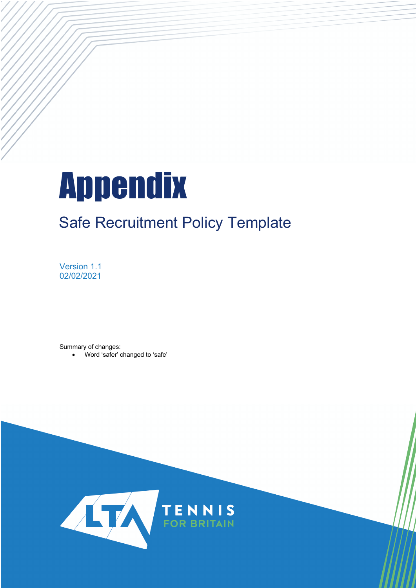# Appendix

## Safe Recruitment Policy Template

Version 1.1 02/02/2021

Summary of changes:

• Word 'safer' changed to 'safe'

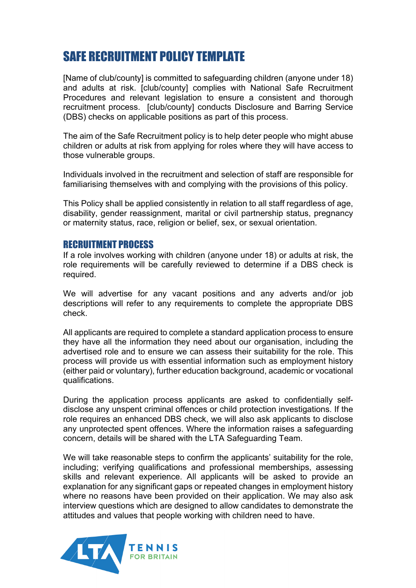### SAFE RECRUITMENT POLICY TEMPLATE

[Name of club/county] is committed to safeguarding children (anyone under 18) and adults at risk. [club/county] complies with National Safe Recruitment Procedures and relevant legislation to ensure a consistent and thorough recruitment process. [club/county] conducts Disclosure and Barring Service (DBS) checks on applicable positions as part of this process.

The aim of the Safe Recruitment policy is to help deter people who might abuse children or adults at risk from applying for roles where they will have access to those vulnerable groups.

Individuals involved in the recruitment and selection of staff are responsible for familiarising themselves with and complying with the provisions of this policy.

This Policy shall be applied consistently in relation to all staff regardless of age, disability, gender reassignment, marital or civil partnership status, pregnancy or maternity status, race, religion or belief, sex, or sexual orientation.

#### RECRUITMENT PROCESS

If a role involves working with children (anyone under 18) or adults at risk, the role requirements will be carefully reviewed to determine if a DBS check is required.

We will advertise for any vacant positions and any adverts and/or job descriptions will refer to any requirements to complete the appropriate DBS check.

All applicants are required to complete a standard application process to ensure they have all the information they need about our organisation, including the advertised role and to ensure we can assess their suitability for the role. This process will provide us with essential information such as employment history (either paid or voluntary), further education background, academic or vocational qualifications.

During the application process applicants are asked to confidentially selfdisclose any unspent criminal offences or child protection investigations. If the role requires an enhanced DBS check, we will also ask applicants to disclose any unprotected spent offences. Where the information raises a safeguarding concern, details will be shared with the LTA Safeguarding Team.

We will take reasonable steps to confirm the applicants' suitability for the role, including; verifying qualifications and professional memberships, assessing skills and relevant experience. All applicants will be asked to provide an explanation for any significant gaps or repeated changes in employment history where no reasons have been provided on their application. We may also ask interview questions which are designed to allow candidates to demonstrate the attitudes and values that people working with children need to have.

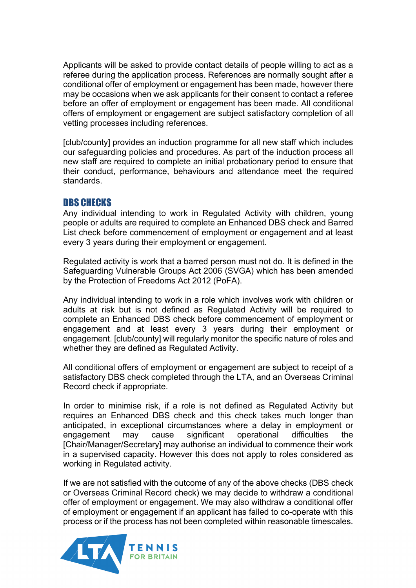Applicants will be asked to provide contact details of people willing to act as a referee during the application process. References are normally sought after a conditional offer of employment or engagement has been made, however there may be occasions when we ask applicants for their consent to contact a referee before an offer of employment or engagement has been made. All conditional offers of employment or engagement are subject satisfactory completion of all vetting processes including references.

[club/county] provides an induction programme for all new staff which includes our safeguarding policies and procedures. As part of the induction process all new staff are required to complete an initial probationary period to ensure that their conduct, performance, behaviours and attendance meet the required standards.

#### DBS CHECKS

Any individual intending to work in Regulated Activity with children, young people or adults are required to complete an Enhanced DBS check and Barred List check before commencement of employment or engagement and at least every 3 years during their employment or engagement.

Regulated activity is work that a barred person must not do. It is defined in the Safeguarding Vulnerable Groups Act 2006 (SVGA) which has been amended by the Protection of Freedoms Act 2012 (PoFA).

Any individual intending to work in a role which involves work with children or adults at risk but is not defined as Regulated Activity will be required to complete an Enhanced DBS check before commencement of employment or engagement and at least every 3 years during their employment or engagement. [club/county] will regularly monitor the specific nature of roles and whether they are defined as Regulated Activity.

All conditional offers of employment or engagement are subject to receipt of a satisfactory DBS check completed through the LTA, and an Overseas Criminal Record check if appropriate.

In order to minimise risk, if a role is not defined as Regulated Activity but requires an Enhanced DBS check and this check takes much longer than anticipated, in exceptional circumstances where a delay in employment or engagement may cause significant operational difficulties the [Chair/Manager/Secretary] may authorise an individual to commence their work in a supervised capacity. However this does not apply to roles considered as working in Regulated activity.

If we are not satisfied with the outcome of any of the above checks (DBS check or Overseas Criminal Record check) we may decide to withdraw a conditional offer of employment or engagement. We may also withdraw a conditional offer of employment or engagement if an applicant has failed to co-operate with this process or if the process has not been completed within reasonable timescales.